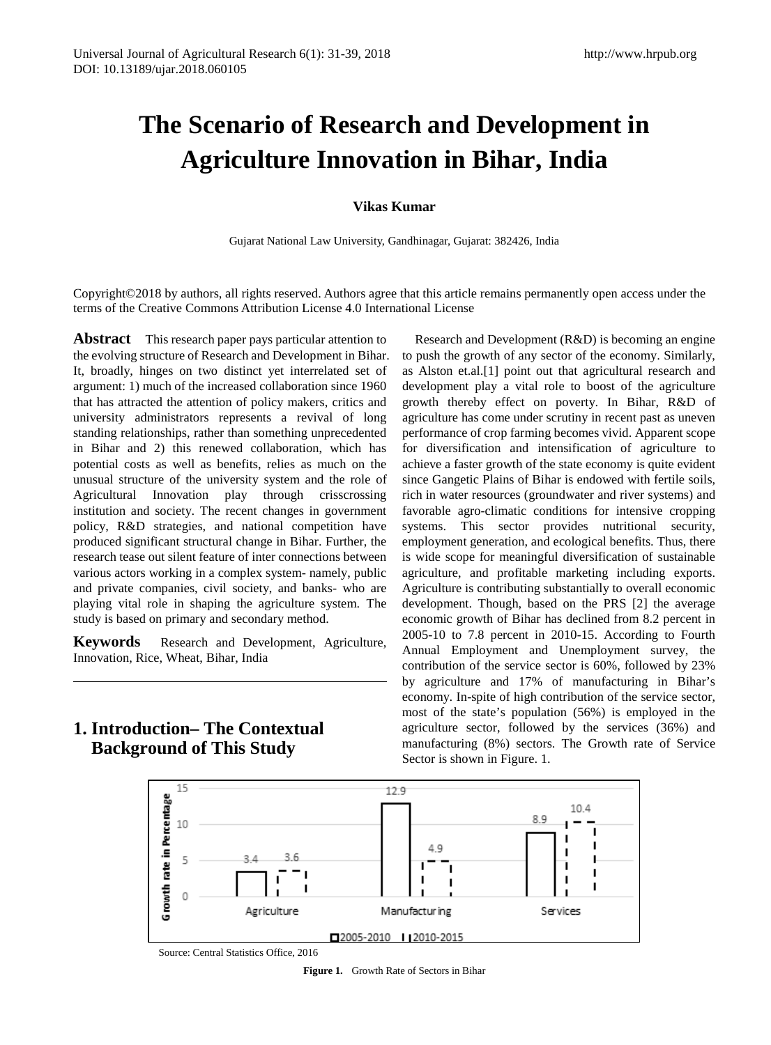# **The Scenario of Research and Development in Agriculture Innovation in Bihar, India**

#### **Vikas Kumar**

Gujarat National Law University, Gandhinagar, Gujarat: 382426, India

Copyright©2018 by authors, all rights reserved. Authors agree that this article remains permanently open access under the terms of the Creative Commons Attribution License 4.0 International License

**Abstract** This research paper pays particular attention to the evolving structure of Research and Development in Bihar. It, broadly, hinges on two distinct yet interrelated set of argument: 1) much of the increased collaboration since 1960 that has attracted the attention of policy makers, critics and university administrators represents a revival of long standing relationships, rather than something unprecedented in Bihar and 2) this renewed collaboration, which has potential costs as well as benefits, relies as much on the unusual structure of the university system and the role of Agricultural Innovation play through crisscrossing institution and society. The recent changes in government policy, R&D strategies, and national competition have produced significant structural change in Bihar. Further, the research tease out silent feature of inter connections between various actors working in a complex system- namely, public and private companies, civil society, and banks- who are playing vital role in shaping the agriculture system. The study is based on primary and secondary method.

**Keywords** Research and Development, Agriculture, Innovation, Rice, Wheat, Bihar, India

**1. Introduction– The Contextual Background of This Study**

Research and Development (R&D) is becoming an engine to push the growth of any sector of the economy. Similarly, as Alston et.al.[1] point out that agricultural research and development play a vital role to boost of the agriculture growth thereby effect on poverty. In Bihar, R&D of agriculture has come under scrutiny in recent past as uneven performance of crop farming becomes vivid. Apparent scope for diversification and intensification of agriculture to achieve a faster growth of the state economy is quite evident since Gangetic Plains of Bihar is endowed with fertile soils, rich in water resources (groundwater and river systems) and favorable agro-climatic conditions for intensive cropping systems. This sector provides nutritional security, employment generation, and ecological benefits. Thus, there is wide scope for meaningful diversification of sustainable agriculture, and profitable marketing including exports. Agriculture is contributing substantially to overall economic development. Though, based on the PRS [2] the average economic growth of Bihar has declined from 8.2 percent in 2005-10 to 7.8 percent in 2010-15. According to Fourth Annual Employment and Unemployment survey, the contribution of the service sector is 60%, followed by 23% by agriculture and 17% of manufacturing in Bihar's economy. In-spite of high contribution of the service sector, most of the state's population (56%) is employed in the agriculture sector, followed by the services (36%) and manufacturing (8%) sectors. The Growth rate of Service Sector is shown in Figure. 1.



**Figure 1.** Growth Rate of Sectors in Bihar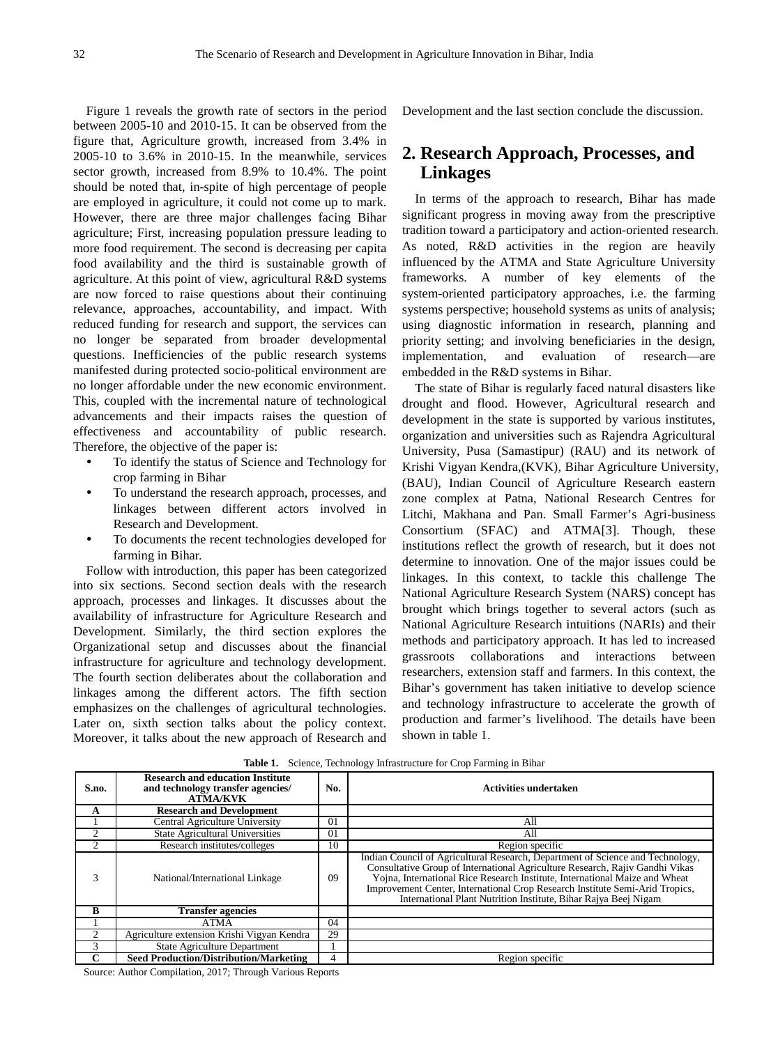Figure 1 reveals the growth rate of sectors in the period between 2005-10 and 2010-15. It can be observed from the figure that, Agriculture growth, increased from 3.4% in 2005-10 to 3.6% in 2010-15. In the meanwhile, services sector growth, increased from 8.9% to 10.4%. The point should be noted that, in-spite of high percentage of people are employed in agriculture, it could not come up to mark. However, there are three major challenges facing Bihar agriculture; First, increasing population pressure leading to more food requirement. The second is decreasing per capita food availability and the third is sustainable growth of agriculture. At this point of view, agricultural R&D systems are now forced to raise questions about their continuing relevance, approaches, accountability, and impact. With reduced funding for research and support, the services can no longer be separated from broader developmental questions. Inefficiencies of the public research systems manifested during protected socio-political environment are no longer affordable under the new economic environment. This, coupled with the incremental nature of technological advancements and their impacts raises the question of effectiveness and accountability of public research. Therefore, the objective of the paper is:

- To identify the status of Science and Technology for crop farming in Bihar
- To understand the research approach, processes, and linkages between different actors involved in Research and Development.
- To documents the recent technologies developed for farming in Bihar.

Follow with introduction, this paper has been categorized into six sections. Second section deals with the research approach, processes and linkages. It discusses about the availability of infrastructure for Agriculture Research and Development. Similarly, the third section explores the Organizational setup and discusses about the financial infrastructure for agriculture and technology development. The fourth section deliberates about the collaboration and linkages among the different actors. The fifth section emphasizes on the challenges of agricultural technologies. Later on, sixth section talks about the policy context. Moreover, it talks about the new approach of Research and Development and the last section conclude the discussion.

## **2. Research Approach, Processes, and Linkages**

In terms of the approach to research, Bihar has made significant progress in moving away from the prescriptive tradition toward a participatory and action-oriented research. As noted, R&D activities in the region are heavily influenced by the ATMA and State Agriculture University frameworks. A number of key elements of the system-oriented participatory approaches, i.e. the farming systems perspective; household systems as units of analysis; using diagnostic information in research, planning and priority setting; and involving beneficiaries in the design, implementation, and evaluation of research—are embedded in the R&D systems in Bihar.

The state of Bihar is regularly faced natural disasters like drought and flood. However, Agricultural research and development in the state is supported by various institutes, organization and universities such as Rajendra Agricultural University, Pusa (Samastipur) (RAU) and its network of Krishi Vigyan Kendra,(KVK), Bihar Agriculture University, (BAU), Indian Council of Agriculture Research eastern zone complex at Patna, National Research Centres for Litchi, Makhana and Pan. Small Farmer's Agri-business Consortium (SFAC) and ATMA[3]. Though, these institutions reflect the growth of research, but it does not determine to innovation. One of the major issues could be linkages. In this context, to tackle this challenge The National Agriculture Research System (NARS) concept has brought which brings together to several actors (such as National Agriculture Research intuitions (NARIs) and their methods and participatory approach. It has led to increased grassroots collaborations and interactions between researchers, extension staff and farmers. In this context, the Bihar's government has taken initiative to develop science and technology infrastructure to accelerate the growth of production and farmer's livelihood. The details have been shown in table 1.

| S.no. | <b>Research and education Institute</b><br>and technology transfer agencies/<br><b>ATMA/KVK</b> | No. | Activities undertaken                                                                                                                                                                                                                                                                                                                                                                            |  |  |  |
|-------|-------------------------------------------------------------------------------------------------|-----|--------------------------------------------------------------------------------------------------------------------------------------------------------------------------------------------------------------------------------------------------------------------------------------------------------------------------------------------------------------------------------------------------|--|--|--|
| A     | <b>Research and Development</b>                                                                 |     |                                                                                                                                                                                                                                                                                                                                                                                                  |  |  |  |
|       | Central Agriculture University                                                                  | 01  | All                                                                                                                                                                                                                                                                                                                                                                                              |  |  |  |
|       | <b>State Agricultural Universities</b>                                                          | 01  | All                                                                                                                                                                                                                                                                                                                                                                                              |  |  |  |
|       | Research institutes/colleges                                                                    | 10  | Region specific                                                                                                                                                                                                                                                                                                                                                                                  |  |  |  |
| 3     | National/International Linkage                                                                  | 09  | Indian Council of Agricultural Research, Department of Science and Technology,<br>Consultative Group of International Agriculture Research, Rajiv Gandhi Vikas<br>Yojna, International Rice Research Institute, International Maize and Wheat<br>Improvement Center, International Crop Research Institute Semi-Arid Tropics,<br>International Plant Nutrition Institute, Bihar Rajya Beej Nigam |  |  |  |
| B     | <b>Transfer agencies</b>                                                                        |     |                                                                                                                                                                                                                                                                                                                                                                                                  |  |  |  |
|       | <b>ATMA</b>                                                                                     | 04  |                                                                                                                                                                                                                                                                                                                                                                                                  |  |  |  |
|       | Agriculture extension Krishi Vigyan Kendra                                                      | 29  |                                                                                                                                                                                                                                                                                                                                                                                                  |  |  |  |
|       | <b>State Agriculture Department</b>                                                             |     |                                                                                                                                                                                                                                                                                                                                                                                                  |  |  |  |
| ⌒     | <b>Seed Production/Distribution/Marketing</b>                                                   | 4   | Region specific                                                                                                                                                                                                                                                                                                                                                                                  |  |  |  |

**Table 1.** Science, Technology Infrastructure for Crop Farming in Bihar

Source: Author Compilation, 2017; Through Various Reports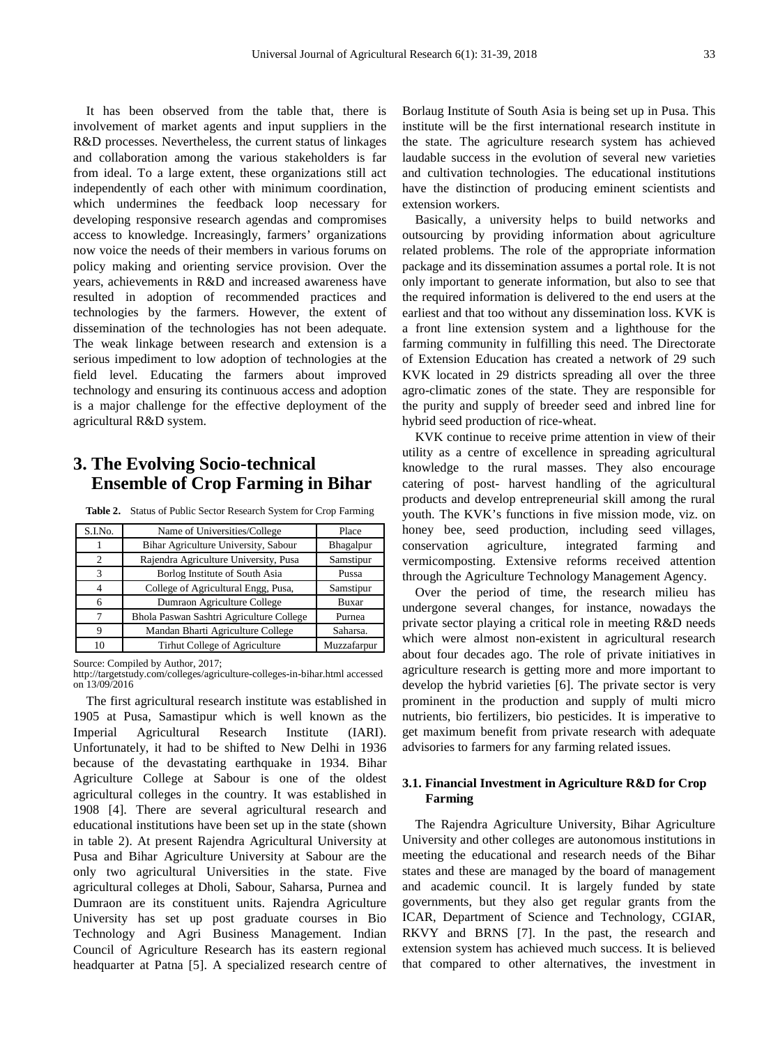It has been observed from the table that, there is involvement of market agents and input suppliers in the R&D processes. Nevertheless, the current status of linkages and collaboration among the various stakeholders is far from ideal. To a large extent, these organizations still act independently of each other with minimum coordination, which undermines the feedback loop necessary for developing responsive research agendas and compromises access to knowledge. Increasingly, farmers' organizations now voice the needs of their members in various forums on policy making and orienting service provision. Over the years, achievements in R&D and increased awareness have resulted in adoption of recommended practices and technologies by the farmers. However, the extent of dissemination of the technologies has not been adequate. The weak linkage between research and extension is a serious impediment to low adoption of technologies at the field level. Educating the farmers about improved technology and ensuring its continuous access and adoption is a major challenge for the effective deployment of the agricultural R&D system.

## **3. The Evolving Socio-technical Ensemble of Crop Farming in Bihar**

| Table 2. Status of Public Sector Research System for Crop Farming |  |  |  |
|-------------------------------------------------------------------|--|--|--|
|-------------------------------------------------------------------|--|--|--|

| S.I.No.        | Name of Universities/College             | Place       |
|----------------|------------------------------------------|-------------|
|                | Bihar Agriculture University, Sabour     | Bhagalpur   |
| $\overline{c}$ | Rajendra Agriculture University, Pusa    | Samstipur   |
| 3              | Borlog Institute of South Asia           | Pussa       |
| 4              | College of Agricultural Engg, Pusa,      | Samstipur   |
| 6              | Dumraon Agriculture College              | Buxar       |
| 7              | Bhola Paswan Sashtri Agriculture College | Purnea      |
| 9              | Mandan Bharti Agriculture College        | Saharsa.    |
| 10             | Tirhut College of Agriculture            | Muzzafarpur |

Source: Compiled by Author, 2017;

http://targetstudy.com/colleges/agriculture-colleges-in-bihar.html accessed on 13/09/2016

The first agricultural research institute was established in 1905 at Pusa, Samastipur which is well known as the Imperial Agricultural Research Institute (IARI). Unfortunately, it had to be shifted to New Delhi in 1936 because of the devastating earthquake in 1934. Bihar Agriculture College at Sabour is one of the oldest agricultural colleges in the country. It was established in 1908 [4]. There are several agricultural research and educational institutions have been set up in the state (shown in table 2). At present Rajendra Agricultural University at Pusa and Bihar Agriculture University at Sabour are the only two agricultural Universities in the state. Five agricultural colleges at Dholi, Sabour, Saharsa, Purnea and Dumraon are its constituent units. Rajendra Agriculture University has set up post graduate courses in Bio Technology and Agri Business Management. Indian Council of Agriculture Research has its eastern regional headquarter at Patna [5]. A specialized research centre of Borlaug Institute of South Asia is being set up in Pusa. This institute will be the first international research institute in the state. The agriculture research system has achieved laudable success in the evolution of several new varieties and cultivation technologies. The educational institutions have the distinction of producing eminent scientists and extension workers.

Basically, a university helps to build networks and outsourcing by providing information about agriculture related problems. The role of the appropriate information package and its dissemination assumes a portal role. It is not only important to generate information, but also to see that the required information is delivered to the end users at the earliest and that too without any dissemination loss. KVK is a front line extension system and a lighthouse for the farming community in fulfilling this need. The Directorate of Extension Education has created a network of 29 such KVK located in 29 districts spreading all over the three agro-climatic zones of the state. They are responsible for the purity and supply of breeder seed and inbred line for hybrid seed production of rice-wheat.

KVK continue to receive prime attention in view of their utility as a centre of excellence in spreading agricultural knowledge to the rural masses. They also encourage catering of post- harvest handling of the agricultural products and develop entrepreneurial skill among the rural youth. The KVK's functions in five mission mode, viz. on honey bee, seed production, including seed villages, conservation agriculture, integrated farming and vermicomposting. Extensive reforms received attention through the Agriculture Technology Management Agency.

Over the period of time, the research milieu has undergone several changes, for instance, nowadays the private sector playing a critical role in meeting R&D needs which were almost non-existent in agricultural research about four decades ago. The role of private initiatives in agriculture research is getting more and more important to develop the hybrid varieties [6]. The private sector is very prominent in the production and supply of multi micro nutrients, bio fertilizers, bio pesticides. It is imperative to get maximum benefit from private research with adequate advisories to farmers for any farming related issues.

#### **3.1. Financial Investment in Agriculture R&D for Crop Farming**

The Rajendra Agriculture University, Bihar Agriculture University and other colleges are autonomous institutions in meeting the educational and research needs of the Bihar states and these are managed by the board of management and academic council. It is largely funded by state governments, but they also get regular grants from the ICAR, Department of Science and Technology, CGIAR, RKVY and BRNS [7]. In the past, the research and extension system has achieved much success. It is believed that compared to other alternatives, the investment in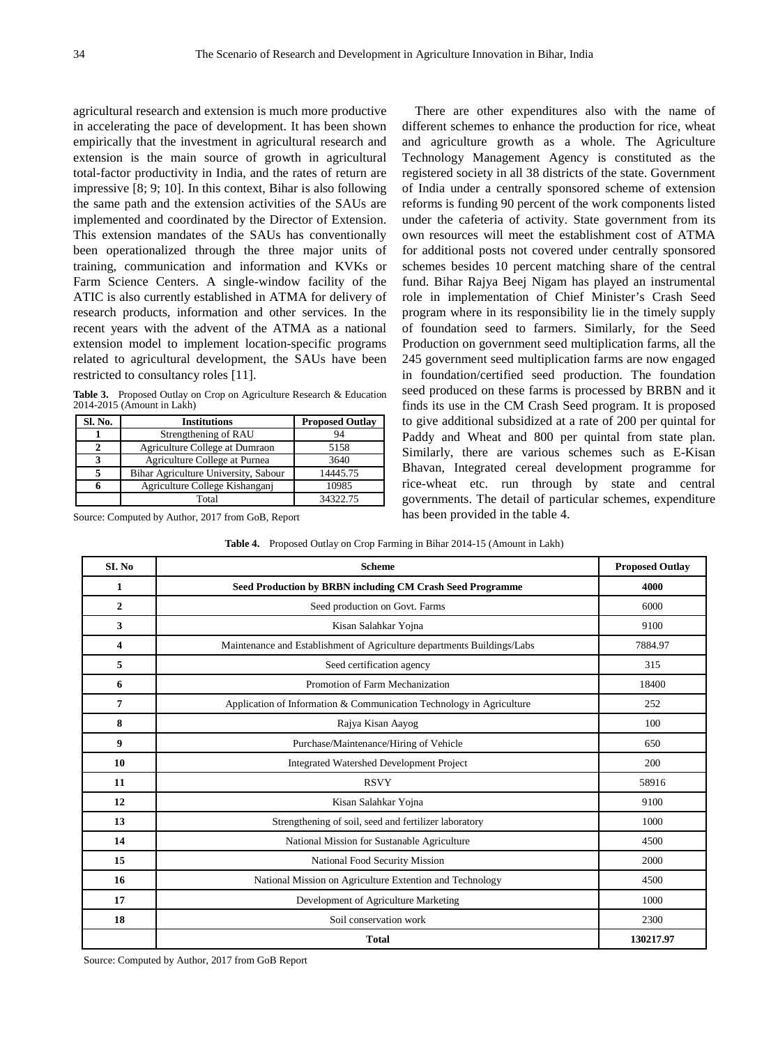agricultural research and extension is much more productive in accelerating the pace of development. It has been shown empirically that the investment in agricultural research and extension is the main source of growth in agricultural total-factor productivity in India, and the rates of return are impressive [8; 9; 10]. In this context, Bihar is also following the same path and the extension activities of the SAUs are implemented and coordinated by the Director of Extension. This extension mandates of the SAUs has conventionally been operationalized through the three major units of training, communication and information and KVKs or Farm Science Centers. A single-window facility of the ATIC is also currently established in ATMA for delivery of research products, information and other services. In the recent years with the advent of the ATMA as a national extension model to implement location-specific programs related to agricultural development, the SAUs have been restricted to consultancy roles [11].

Table 3. Proposed Outlay on Crop on Agriculture Research & Education 2014-2015 (Amount in Lakh)

| Sl. No. | <b>Institutions</b>                  | <b>Proposed Outlay</b> |
|---------|--------------------------------------|------------------------|
|         | Strengthening of RAU                 | 94                     |
|         | Agriculture College at Dumraon       | 5158                   |
|         | Agriculture College at Purnea        | 3640                   |
|         | Bihar Agriculture University, Sabour | 14445.75               |
|         | Agriculture College Kishanganj       | 10985                  |
|         | Total                                | 34322.75               |

Source: Computed by Author, 2017 from GoB, Report

There are other expenditures also with the name of different schemes to enhance the production for rice, wheat and agriculture growth as a whole. The Agriculture Technology Management Agency is constituted as the registered society in all 38 districts of the state. Government of India under a centrally sponsored scheme of extension reforms is funding 90 percent of the work components listed under the cafeteria of activity. State government from its own resources will meet the establishment cost of ATMA for additional posts not covered under centrally sponsored schemes besides 10 percent matching share of the central fund. Bihar Rajya Beej Nigam has played an instrumental role in implementation of Chief Minister's Crash Seed program where in its responsibility lie in the timely supply of foundation seed to farmers. Similarly, for the Seed Production on government seed multiplication farms, all the 245 government seed multiplication farms are now engaged in foundation/certified seed production. The foundation seed produced on these farms is processed by BRBN and it finds its use in the CM Crash Seed program. It is proposed to give additional subsidized at a rate of 200 per quintal for Paddy and Wheat and 800 per quintal from state plan. Similarly, there are various schemes such as E-Kisan Bhavan, Integrated cereal development programme for rice-wheat etc. run through by state and central governments. The detail of particular schemes, expenditure has been provided in the table 4.

**Table 4.** Proposed Outlay on Crop Farming in Bihar 2014-15 (Amount in Lakh)

| SI. No         | <b>Scheme</b>                                                           | <b>Proposed Outlay</b> |
|----------------|-------------------------------------------------------------------------|------------------------|
| 1              | Seed Production by BRBN including CM Crash Seed Programme               | 4000                   |
| $\overline{2}$ | Seed production on Govt. Farms                                          | 6000                   |
| 3              | Kisan Salahkar Yojna                                                    | 9100                   |
| 4              | Maintenance and Establishment of Agriculture departments Buildings/Labs | 7884.97                |
| 5              | Seed certification agency                                               | 315                    |
| 6              | Promotion of Farm Mechanization                                         | 18400                  |
| 7              | Application of Information & Communication Technology in Agriculture    | 252                    |
| 8              | Rajya Kisan Aayog                                                       | 100                    |
| 9              | Purchase/Maintenance/Hiring of Vehicle                                  | 650                    |
| 10             | <b>Integrated Watershed Development Project</b>                         | 200                    |
| 11             | <b>RSVY</b>                                                             | 58916                  |
| 12             | Kisan Salahkar Yojna                                                    | 9100                   |
| 13             | Strengthening of soil, seed and fertilizer laboratory                   | 1000                   |
| 14             | National Mission for Sustanable Agriculture                             | 4500                   |
| 15             | National Food Security Mission                                          | 2000                   |
| 16             | National Mission on Agriculture Extention and Technology                | 4500                   |
| 17             | Development of Agriculture Marketing                                    | 1000                   |
| 18             | Soil conservation work                                                  | 2300                   |
|                | <b>Total</b>                                                            | 130217.97              |

Source: Computed by Author, 2017 from GoB Report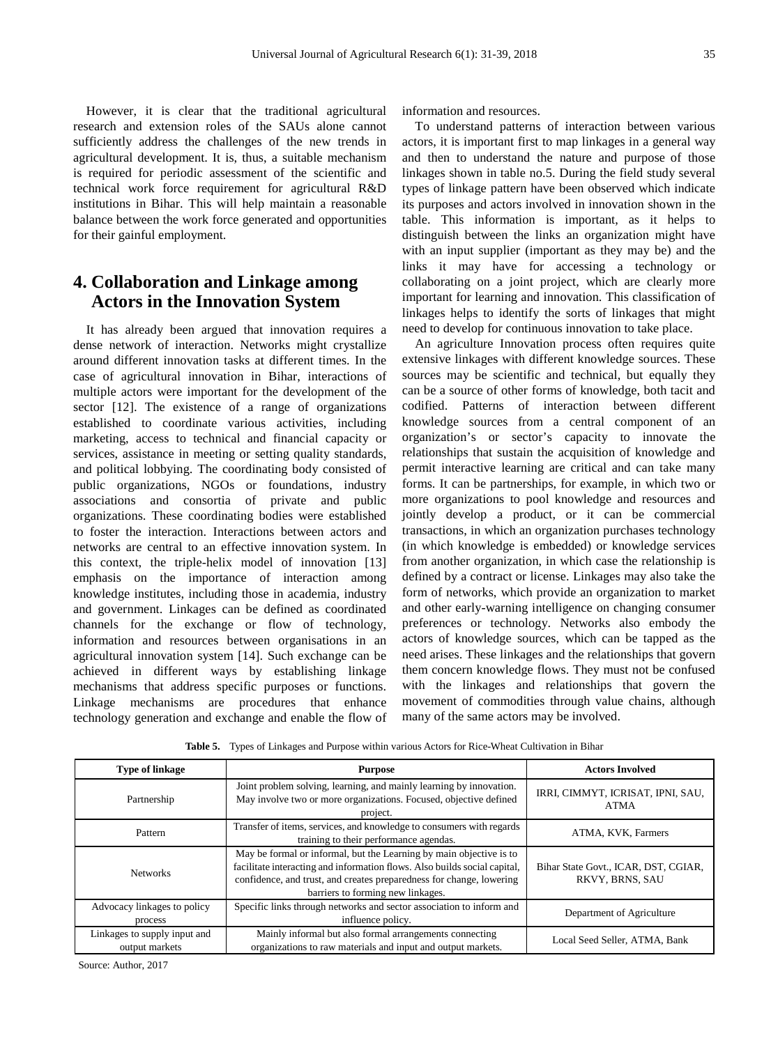However, it is clear that the traditional agricultural research and extension roles of the SAUs alone cannot sufficiently address the challenges of the new trends in agricultural development. It is, thus, a suitable mechanism is required for periodic assessment of the scientific and technical work force requirement for agricultural R&D institutions in Bihar. This will help maintain a reasonable balance between the work force generated and opportunities for their gainful employment.

## **4. Collaboration and Linkage among Actors in the Innovation System**

It has already been argued that innovation requires a dense network of interaction. Networks might crystallize around different innovation tasks at different times. In the case of agricultural innovation in Bihar, interactions of multiple actors were important for the development of the sector [12]. The existence of a range of organizations established to coordinate various activities, including marketing, access to technical and financial capacity or services, assistance in meeting or setting quality standards, and political lobbying. The coordinating body consisted of public organizations, NGOs or foundations, industry associations and consortia of private and public organizations. These coordinating bodies were established to foster the interaction. Interactions between actors and networks are central to an effective innovation system. In this context, the triple-helix model of innovation [13] emphasis on the importance of interaction among knowledge institutes, including those in academia, industry and government. Linkages can be defined as coordinated channels for the exchange or flow of technology, information and resources between organisations in an agricultural innovation system [14]. Such exchange can be achieved in different ways by establishing linkage mechanisms that address specific purposes or functions. Linkage mechanisms are procedures that enhance technology generation and exchange and enable the flow of information and resources.

To understand patterns of interaction between various actors, it is important first to map linkages in a general way and then to understand the nature and purpose of those linkages shown in table no.5. During the field study several types of linkage pattern have been observed which indicate its purposes and actors involved in innovation shown in the table. This information is important, as it helps to distinguish between the links an organization might have with an input supplier (important as they may be) and the links it may have for accessing a technology or collaborating on a joint project, which are clearly more important for learning and innovation. This classification of linkages helps to identify the sorts of linkages that might need to develop for continuous innovation to take place.

An agriculture Innovation process often requires quite extensive linkages with different knowledge sources. These sources may be scientific and technical, but equally they can be a source of other forms of knowledge, both tacit and codified. Patterns of interaction between different knowledge sources from a central component of an organization's or sector's capacity to innovate the relationships that sustain the acquisition of knowledge and permit interactive learning are critical and can take many forms. It can be partnerships, for example, in which two or more organizations to pool knowledge and resources and jointly develop a product, or it can be commercial transactions, in which an organization purchases technology (in which knowledge is embedded) or knowledge services from another organization, in which case the relationship is defined by a contract or license. Linkages may also take the form of networks, which provide an organization to market and other early-warning intelligence on changing consumer preferences or technology. Networks also embody the actors of knowledge sources, which can be tapped as the need arises. These linkages and the relationships that govern them concern knowledge flows. They must not be confused with the linkages and relationships that govern the movement of commodities through value chains, although many of the same actors may be involved.

| <b>Type of linkage</b>                         | <b>Purpose</b>                                                                                                                                                                                                                                                | <b>Actors Involved</b>                                  |
|------------------------------------------------|---------------------------------------------------------------------------------------------------------------------------------------------------------------------------------------------------------------------------------------------------------------|---------------------------------------------------------|
| Partnership                                    | Joint problem solving, learning, and mainly learning by innovation.<br>May involve two or more organizations. Focused, objective defined<br>project.                                                                                                          | IRRI, CIMMYT, ICRISAT, IPNI, SAU,<br><b>ATMA</b>        |
| Pattern                                        | Transfer of items, services, and knowledge to consumers with regards<br>training to their performance agendas.                                                                                                                                                | ATMA, KVK, Farmers                                      |
| <b>Networks</b>                                | May be formal or informal, but the Learning by main objective is to<br>facilitate interacting and information flows. Also builds social capital,<br>confidence, and trust, and creates preparedness for change, lowering<br>barriers to forming new linkages. | Bihar State Govt., ICAR, DST, CGIAR,<br>RKVY, BRNS, SAU |
| Advocacy linkages to policy<br>process         | Specific links through networks and sector association to inform and<br>influence policy.                                                                                                                                                                     | Department of Agriculture                               |
| Linkages to supply input and<br>output markets | Mainly informal but also formal arrangements connecting<br>organizations to raw materials and input and output markets.                                                                                                                                       | Local Seed Seller, ATMA, Bank                           |

**Table 5.** Types of Linkages and Purpose within various Actors for Rice-Wheat Cultivation in Bihar

Source: Author, 2017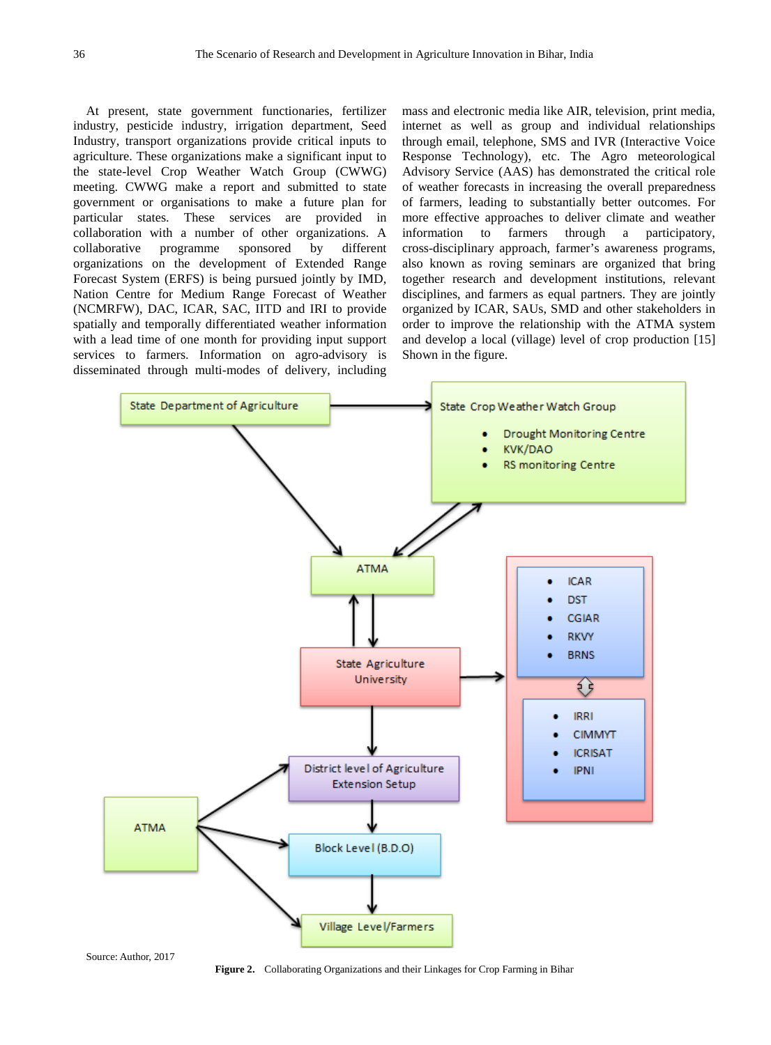At present, state government functionaries, fertilizer industry, pesticide industry, irrigation department, Seed Industry, transport organizations provide critical inputs to agriculture. These organizations make a significant input to the state-level Crop Weather Watch Group (CWWG) meeting. CWWG make a report and submitted to state government or organisations to make a future plan for particular states. These services are provided in collaboration with a number of other organizations. A collaborative programme sponsored by different organizations on the development of Extended Range Forecast System (ERFS) is being pursued jointly by IMD, Nation Centre for Medium Range Forecast of Weather (NCMRFW), DAC, ICAR, SAC, IITD and IRI to provide spatially and temporally differentiated weather information with a lead time of one month for providing input support services to farmers. Information on agro-advisory is disseminated through multi-modes of delivery, including mass and electronic media like AIR, television, print media, internet as well as group and individual relationships through email, telephone, SMS and IVR (Interactive Voice Response Technology), etc. The Agro meteorological Advisory Service (AAS) has demonstrated the critical role of weather forecasts in increasing the overall preparedness of farmers, leading to substantially better outcomes. For more effective approaches to deliver climate and weather information to farmers through a participatory, cross-disciplinary approach, farmer's awareness programs, also known as roving seminars are organized that bring together research and development institutions, relevant disciplines, and farmers as equal partners. They are jointly organized by ICAR, SAUs, SMD and other stakeholders in order to improve the relationship with the ATMA system and develop a local (village) level of crop production [15] Shown in the figure.



Source: Author, 2017

**Figure 2.** Collaborating Organizations and their Linkages for Crop Farming in Bihar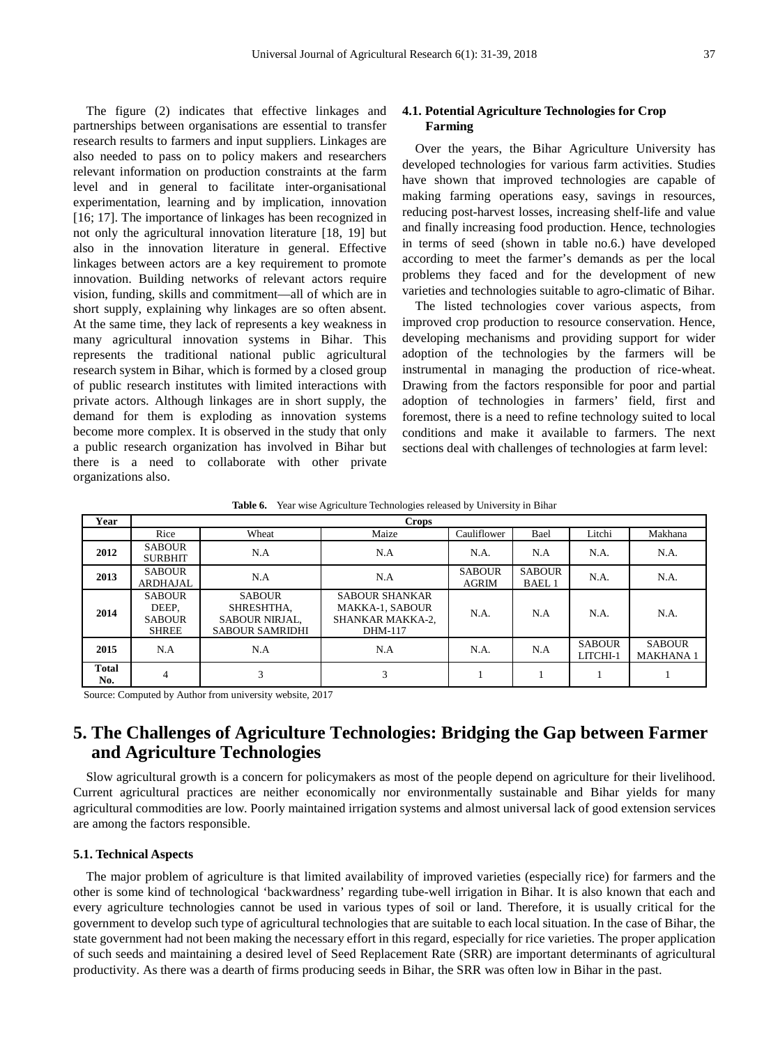The figure (2) indicates that effective linkages and partnerships between organisations are essential to transfer research results to farmers and input suppliers. Linkages are also needed to pass on to policy makers and researchers relevant information on production constraints at the farm level and in general to facilitate inter-organisational experimentation, learning and by implication, innovation [16; 17]. The importance of linkages has been recognized in not only the agricultural innovation literature [18, 19] but also in the innovation literature in general. Effective linkages between actors are a key requirement to promote innovation. Building networks of relevant actors require vision, funding, skills and commitment—all of which are in short supply, explaining why linkages are so often absent. At the same time, they lack of represents a key weakness in many agricultural innovation systems in Bihar. This represents the traditional national public agricultural research system in Bihar, which is formed by a closed group of public research institutes with limited interactions with private actors. Although linkages are in short supply, the demand for them is exploding as innovation systems become more complex. It is observed in the study that only a public research organization has involved in Bihar but there is a need to collaborate with other private organizations also.

#### **4.1. Potential Agriculture Technologies for Crop Farming**

Over the years, the Bihar Agriculture University has developed technologies for various farm activities. Studies have shown that improved technologies are capable of making farming operations easy, savings in resources, reducing post-harvest losses, increasing shelf-life and value and finally increasing food production. Hence, technologies in terms of seed (shown in table no.6.) have developed according to meet the farmer's demands as per the local problems they faced and for the development of new varieties and technologies suitable to agro-climatic of Bihar.

The listed technologies cover various aspects, from improved crop production to resource conservation. Hence, developing mechanisms and providing support for wider adoption of the technologies by the farmers will be instrumental in managing the production of rice-wheat. Drawing from the factors responsible for poor and partial adoption of technologies in farmers' field, first and foremost, there is a need to refine technology suited to local conditions and make it available to farmers. The next sections deal with challenges of technologies at farm level:

Table 6. Year wise Agriculture Technologies released by University in Bihar

| Year                | <b>Crops</b>                                            |                                                                                |                                                                                |                               |                               |                           |                                  |  |
|---------------------|---------------------------------------------------------|--------------------------------------------------------------------------------|--------------------------------------------------------------------------------|-------------------------------|-------------------------------|---------------------------|----------------------------------|--|
|                     | Rice                                                    | Wheat                                                                          | Maize                                                                          | Cauliflower                   | Bael                          | Litchi                    | Makhana                          |  |
| 2012                | <b>SABOUR</b><br><b>SURBHIT</b>                         | N.A                                                                            | N.A                                                                            | N.A.                          | N.A                           | N.A.                      | N.A.                             |  |
| 2013                | <b>SABOUR</b><br><b>ARDHAJAL</b>                        | N.A                                                                            | N.A                                                                            | <b>SABOUR</b><br><b>AGRIM</b> | <b>SABOUR</b><br><b>BAEL1</b> | N.A.                      | N.A.                             |  |
| 2014                | <b>SABOUR</b><br>DEEP,<br><b>SABOUR</b><br><b>SHREE</b> | <b>SABOUR</b><br>SHRESHTHA.<br><b>SABOUR NIRJAL,</b><br><b>SABOUR SAMRIDHI</b> | <b>SABOUR SHANKAR</b><br><b>MAKKA-1, SABOUR</b><br>SHANKAR MAKKA-2,<br>DHM-117 | N.A.                          | N.A                           | N.A.                      | N.A.                             |  |
| 2015                | N.A                                                     | N.A                                                                            | N.A                                                                            | N.A.                          | N.A                           | <b>SABOUR</b><br>LITCHI-1 | <b>SABOUR</b><br><b>MAKHANA1</b> |  |
| <b>Total</b><br>No. |                                                         | 3                                                                              | 3                                                                              |                               |                               |                           |                                  |  |

Source: Computed by Author from university website, 2017

## **5. The Challenges of Agriculture Technologies: Bridging the Gap between Farmer and Agriculture Technologies**

Slow agricultural growth is a concern for policymakers as most of the people depend on agriculture for their livelihood. Current agricultural practices are neither economically nor environmentally sustainable and Bihar yields for many agricultural commodities are low. Poorly maintained irrigation systems and almost universal lack of good extension services are among the factors responsible.

#### **5.1. Technical Aspects**

The major problem of agriculture is that limited availability of improved varieties (especially rice) for farmers and the other is some kind of technological 'backwardness' regarding tube-well irrigation in Bihar. It is also known that each and every agriculture technologies cannot be used in various types of soil or land. Therefore, it is usually critical for the government to develop such type of agricultural technologies that are suitable to each local situation. In the case of Bihar, the state government had not been making the necessary effort in this regard, especially for rice varieties. The proper application of such seeds and maintaining a desired level of Seed Replacement Rate (SRR) are important determinants of agricultural productivity. As there was a dearth of firms producing seeds in Bihar, the SRR was often low in Bihar in the past.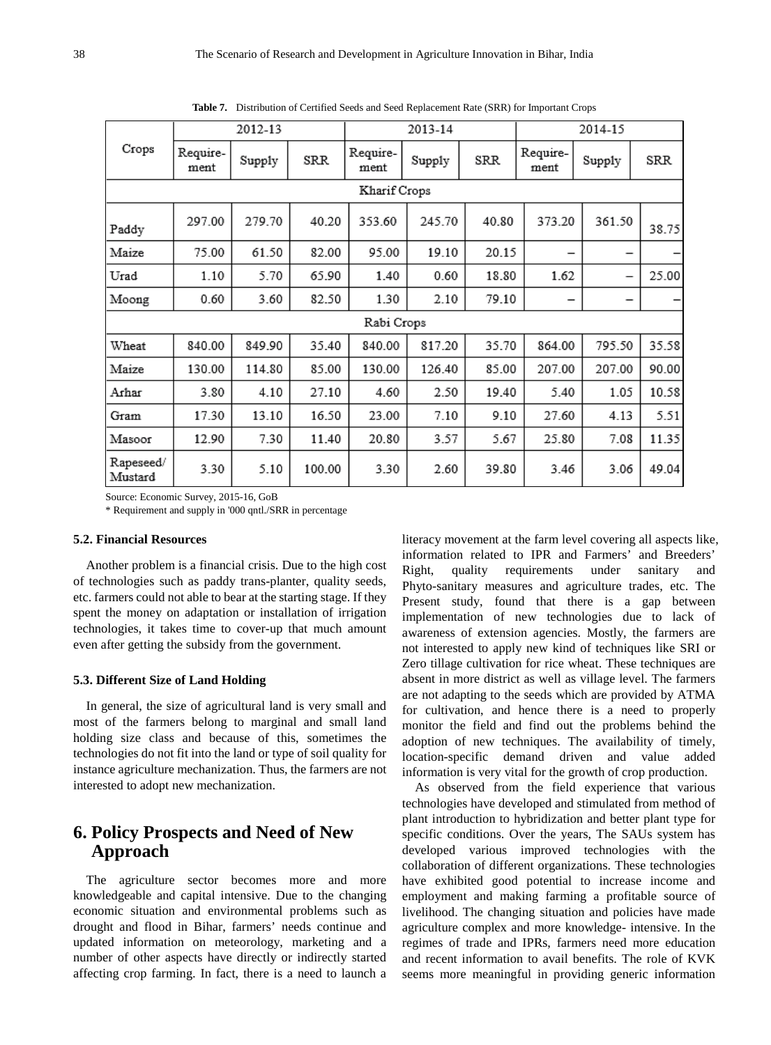|                      | 2012-13          |        |        | 2013-14          |        |       | 2014-15          |        |       |
|----------------------|------------------|--------|--------|------------------|--------|-------|------------------|--------|-------|
| Crops                | Require-<br>ment | Supply | SRR    | Require-<br>ment | Supply | SRR   | Require-<br>ment | Supply | SRR   |
|                      |                  |        |        | Kharif Crops     |        |       |                  |        |       |
| Paddy                | 297.00           | 279.70 | 40.20  | 353.60           | 245.70 | 40.80 | 373.20           | 361.50 | 38.75 |
| Maize                | 75.00            | 61.50  | 82.00  | 95.00            | 19.10  | 20.15 |                  |        |       |
| Urad                 | 1.10             | 5.70   | 65.90  | 1.40             | 0.60   | 18.80 | 1.62             | -      | 25.00 |
| Moong                | 0.60             | 3.60   | 82.50  | 1.30             | 2.10   | 79.10 |                  |        |       |
|                      |                  |        |        | Rabi Crops       |        |       |                  |        |       |
| Wheat                | 840.00           | 849.90 | 35.40  | 840.00           | 817.20 | 35.70 | 864.00           | 795.50 | 35.58 |
| Maize                | 130.00           | 114.80 | 85.00  | 130.00           | 126.40 | 85.00 | 207.00           | 207.00 | 90.00 |
| Arhar                | 3.80             | 4.10   | 27.10  | 4.60             | 2.50   | 19.40 | 5.40             | 1.05   | 10.58 |
| Gram                 | 17.30            | 13.10  | 16.50  | 23.00            | 7.10   | 9.10  | 27.60            | 4.13   | 5.51  |
| Masoor               | 12.90            | 7.30   | 11.40  | 20.80            | 3.57   | 5.67  | 25.80            | 7.08   | 11.35 |
| Rapeseed/<br>Mustard | 3.30             | 5.10   | 100.00 | 3.30             | 2.60   | 39.80 | 3.46             | 3.06   | 49.04 |

**Table 7.** Distribution of Certified Seeds and Seed Replacement Rate (SRR) for Important Crops

Source: Economic Survey, 2015-16, GoB

\* Requirement and supply in '000 qntl./SRR in percentage

#### **5.2. Financial Resources**

Another problem is a financial crisis. Due to the high cost of technologies such as paddy trans-planter, quality seeds, etc. farmers could not able to bear at the starting stage. If they spent the money on adaptation or installation of irrigation technologies, it takes time to cover-up that much amount even after getting the subsidy from the government.

#### **5.3. Different Size of Land Holding**

In general, the size of agricultural land is very small and most of the farmers belong to marginal and small land holding size class and because of this, sometimes the technologies do not fit into the land or type of soil quality for instance agriculture mechanization. Thus, the farmers are not interested to adopt new mechanization.

## **6. Policy Prospects and Need of New Approach**

The agriculture sector becomes more and more knowledgeable and capital intensive. Due to the changing economic situation and environmental problems such as drought and flood in Bihar, farmers' needs continue and updated information on meteorology, marketing and a number of other aspects have directly or indirectly started affecting crop farming. In fact, there is a need to launch a

literacy movement at the farm level covering all aspects like, information related to IPR and Farmers' and Breeders' Right, quality requirements under sanitary and Phyto-sanitary measures and agriculture trades, etc. The Present study, found that there is a gap between implementation of new technologies due to lack of awareness of extension agencies. Mostly, the farmers are not interested to apply new kind of techniques like SRI or Zero tillage cultivation for rice wheat. These techniques are absent in more district as well as village level. The farmers are not adapting to the seeds which are provided by ATMA for cultivation, and hence there is a need to properly monitor the field and find out the problems behind the adoption of new techniques. The availability of timely, location-specific demand driven and value added information is very vital for the growth of crop production.

As observed from the field experience that various technologies have developed and stimulated from method of plant introduction to hybridization and better plant type for specific conditions. Over the years, The SAUs system has developed various improved technologies with the collaboration of different organizations. These technologies have exhibited good potential to increase income and employment and making farming a profitable source of livelihood. The changing situation and policies have made agriculture complex and more knowledge- intensive. In the regimes of trade and IPRs, farmers need more education and recent information to avail benefits. The role of KVK seems more meaningful in providing generic information